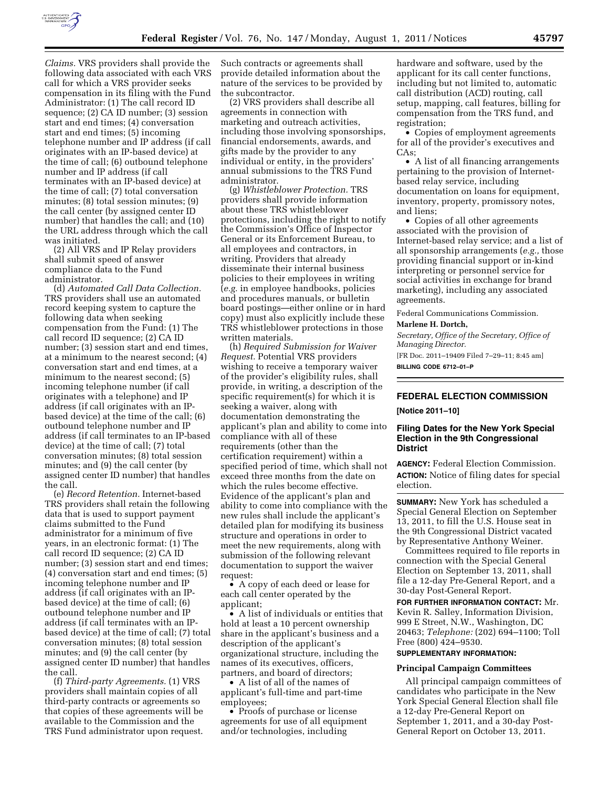

*Claims.* VRS providers shall provide the following data associated with each VRS call for which a VRS provider seeks compensation in its filing with the Fund Administrator: (1) The call record ID sequence; (2) CA ID number; (3) session start and end times; (4) conversation start and end times; (5) incoming telephone number and IP address (if call originates with an IP-based device) at the time of call; (6) outbound telephone number and IP address (if call terminates with an IP-based device) at the time of call; (7) total conversation minutes; (8) total session minutes; (9) the call center (by assigned center ID number) that handles the call; and (10) the URL address through which the call was initiated.

(2) All VRS and IP Relay providers shall submit speed of answer compliance data to the Fund administrator.

(d) *Automated Call Data Collection.*  TRS providers shall use an automated record keeping system to capture the following data when seeking compensation from the Fund: (1) The call record ID sequence; (2) CA ID number; (3) session start and end times, at a minimum to the nearest second; (4) conversation start and end times, at a minimum to the nearest second; (5) incoming telephone number (if call originates with a telephone) and IP address (if call originates with an IPbased device) at the time of the call; (6) outbound telephone number and IP address (if call terminates to an IP-based device) at the time of call; (7) total conversation minutes; (8) total session minutes; and (9) the call center (by assigned center ID number) that handles the call.

(e) *Record Retention.* Internet-based TRS providers shall retain the following data that is used to support payment claims submitted to the Fund administrator for a minimum of five years, in an electronic format: (1) The call record ID sequence; (2) CA ID number; (3) session start and end times; (4) conversation start and end times; (5) incoming telephone number and IP address (if call originates with an IPbased device) at the time of call; (6) outbound telephone number and IP address (if call terminates with an IPbased device) at the time of call; (7) total conversation minutes; (8) total session minutes; and (9) the call center (by assigned center ID number) that handles the call.

(f) *Third-party Agreements.* (1) VRS providers shall maintain copies of all third-party contracts or agreements so that copies of these agreements will be available to the Commission and the TRS Fund administrator upon request.

Such contracts or agreements shall provide detailed information about the nature of the services to be provided by the subcontractor.

(2) VRS providers shall describe all agreements in connection with marketing and outreach activities, including those involving sponsorships, financial endorsements, awards, and gifts made by the provider to any individual or entity, in the providers' annual submissions to the TRS Fund administrator.

(g) *Whistleblower Protection.* TRS providers shall provide information about these TRS whistleblower protections, including the right to notify the Commission's Office of Inspector General or its Enforcement Bureau, to all employees and contractors, in writing. Providers that already disseminate their internal business policies to their employees in writing (*e.g.* in employee handbooks, policies and procedures manuals, or bulletin board postings—either online or in hard copy) must also explicitly include these TRS whistleblower protections in those written materials.

(h) *Required Submission for Waiver Request.* Potential VRS providers wishing to receive a temporary waiver of the provider's eligibility rules, shall provide, in writing, a description of the specific requirement(s) for which it is seeking a waiver, along with documentation demonstrating the applicant's plan and ability to come into compliance with all of these requirements (other than the certification requirement) within a specified period of time, which shall not exceed three months from the date on which the rules become effective. Evidence of the applicant's plan and ability to come into compliance with the new rules shall include the applicant's detailed plan for modifying its business structure and operations in order to meet the new requirements, along with submission of the following relevant documentation to support the waiver request:

• A copy of each deed or lease for each call center operated by the applicant;

• A list of individuals or entities that hold at least a 10 percent ownership share in the applicant's business and a description of the applicant's organizational structure, including the names of its executives, officers, partners, and board of directors;

• A list of all of the names of applicant's full-time and part-time employees;

• Proofs of purchase or license agreements for use of all equipment and/or technologies, including

hardware and software, used by the applicant for its call center functions, including but not limited to, automatic call distribution (ACD) routing, call setup, mapping, call features, billing for compensation from the TRS fund, and registration;

• Copies of employment agreements for all of the provider's executives and CAs;

• A list of all financing arrangements pertaining to the provision of Internetbased relay service, including documentation on loans for equipment, inventory, property, promissory notes, and liens;

• Copies of all other agreements associated with the provision of Internet-based relay service; and a list of all sponsorship arrangements (*e.g.,* those providing financial support or in-kind interpreting or personnel service for social activities in exchange for brand marketing), including any associated agreements.

Federal Communications Commission.

#### **Marlene H. Dortch,**

*Secretary, Office of the Secretary, Office of Managing Director.* 

[FR Doc. 2011–19409 Filed 7–29–11; 8:45 am] **BILLING CODE 6712–01–P** 

# **FEDERAL ELECTION COMMISSION**

**[Notice 2011–10]** 

# **Filing Dates for the New York Special Election in the 9th Congressional District**

**AGENCY:** Federal Election Commission. **ACTION:** Notice of filing dates for special election.

**SUMMARY:** New York has scheduled a Special General Election on September 13, 2011, to fill the U.S. House seat in the 9th Congressional District vacated by Representative Anthony Weiner.

Committees required to file reports in connection with the Special General Election on September 13, 2011, shall file a 12-day Pre-General Report, and a 30-day Post-General Report.

**FOR FURTHER INFORMATION CONTACT:** Mr. Kevin R. Salley, Information Division, 999 E Street, N.W., Washington, DC 20463; *Telephone:* (202) 694–1100; Toll Free (800) 424–9530.

# **SUPPLEMENTARY INFORMATION:**

## **Principal Campaign Committees**

All principal campaign committees of candidates who participate in the New York Special General Election shall file a 12-day Pre-General Report on September 1, 2011, and a 30-day Post-General Report on October 13, 2011.